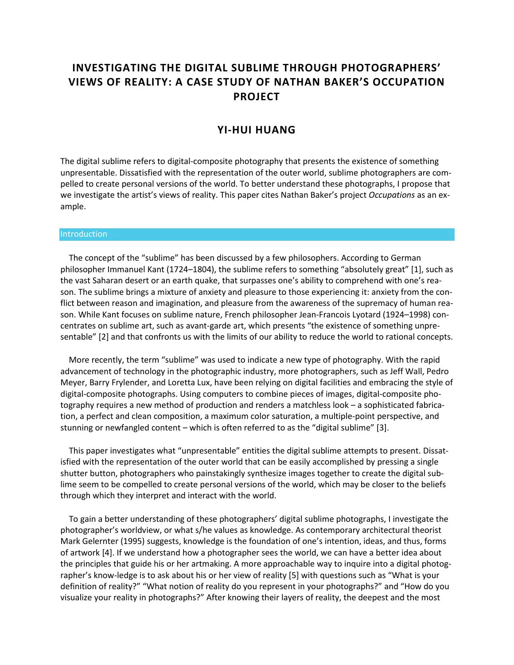# **INVESTIGATING THE DIGITAL SUBLIME THROUGH PHOTOGRAPHERS' VIEWS OF REALITY: A CASE STUDY OF NATHAN BAKER'S OCCUPATION PROJECT**

# **YI-HUI HUANG**

The digital sublime refers to digital-composite photography that presents the existence of something unpresentable. Dissatisfied with the representation of the outer world, sublime photographers are compelled to create personal versions of the world. To better understand these photographs, I propose that we investigate the artist's views of reality. This paper cites Nathan Baker's project *Occupations* as an example.

#### **Introduction**

 The concept of the "sublime" has been discussed by a few philosophers. According to German philosopher Immanuel Kant (1724–1804), the sublime refers to something "absolutely great" [1], such as the vast Saharan desert or an earth quake, that surpasses one's ability to comprehend with one's reason. The sublime brings a mixture of anxiety and pleasure to those experiencing it: anxiety from the conflict between reason and imagination, and pleasure from the awareness of the supremacy of human reason. While Kant focuses on sublime nature, French philosopher Jean-Francois Lyotard (1924–1998) concentrates on sublime art, such as avant-garde art, which presents "the existence of something unpresentable" [2] and that confronts us with the limits of our ability to reduce the world to rational concepts.

 More recently, the term "sublime" was used to indicate a new type of photography. With the rapid advancement of technology in the photographic industry, more photographers, such as Jeff Wall, Pedro Meyer, Barry Frylender, and Loretta Lux, have been relying on digital facilities and embracing the style of digital-composite photographs. Using computers to combine pieces of images, digital-composite photography requires a new method of production and renders a matchless look – a sophisticated fabrication, a perfect and clean composition, a maximum color saturation, a multiple-point perspective, and stunning or newfangled content – which is often referred to as the "digital sublime" [3].

 This paper investigates what "unpresentable" entities the digital sublime attempts to present. Dissatisfied with the representation of the outer world that can be easily accomplished by pressing a single shutter button, photographers who painstakingly synthesize images together to create the digital sublime seem to be compelled to create personal versions of the world, which may be closer to the beliefs through which they interpret and interact with the world.

 To gain a better understanding of these photographers' digital sublime photographs, I investigate the photographer's worldview, or what s/he values as knowledge. As contemporary architectural theorist Mark Gelernter (1995) suggests, knowledge is the foundation of one's intention, ideas, and thus, forms of artwork [4]. If we understand how a photographer sees the world, we can have a better idea about the principles that guide his or her artmaking. A more approachable way to inquire into a digital photographer's know-ledge is to ask about his or her view of reality [5] with questions such as "What is your definition of reality?" "What notion of reality do you represent in your photographs?" and "How do you visualize your reality in photographs?" After knowing their layers of reality, the deepest and the most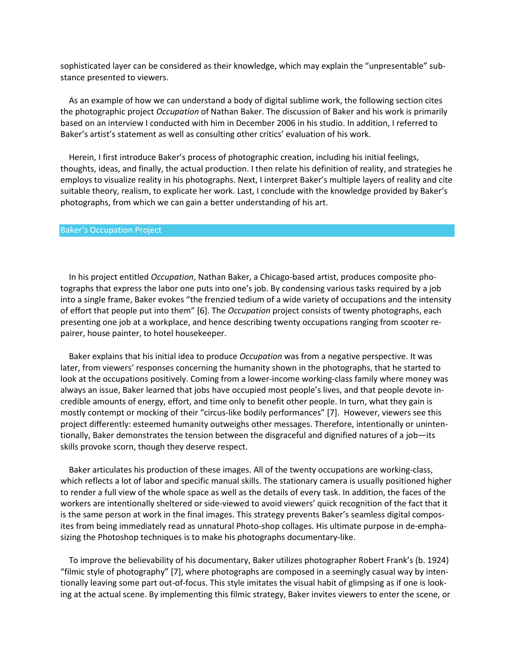sophisticated layer can be considered as their knowledge, which may explain the "unpresentable" substance presented to viewers.

 As an example of how we can understand a body of digital sublime work, the following section cites the photographic project *Occupation* of Nathan Baker. The discussion of Baker and his work is primarily based on an interview I conducted with him in December 2006 in his studio. In addition, I referred to Baker's artist's statement as well as consulting other critics' evaluation of his work.

 Herein, I first introduce Baker's process of photographic creation, including his initial feelings, thoughts, ideas, and finally, the actual production. I then relate his definition of reality, and strategies he employs to visualize reality in his photographs. Next, I interpret Baker's multiple layers of reality and cite suitable theory, realism, to explicate her work. Last, I conclude with the knowledge provided by Baker's photographs, from which we can gain a better understanding of his art.

#### Baker's Occupation Project

 In his project entitled *Occupation*, Nathan Baker, a Chicago-based artist, produces composite photographs that express the labor one puts into one's job. By condensing various tasks required by a job into a single frame, Baker evokes "the frenzied tedium of a wide variety of occupations and the intensity of effort that people put into them" [6]. The *Occupation* project consists of twenty photographs, each presenting one job at a workplace, and hence describing twenty occupations ranging from scooter repairer, house painter, to hotel housekeeper.

 Baker explains that his initial idea to produce *Occupation* was from a negative perspective. It was later, from viewers' responses concerning the humanity shown in the photographs, that he started to look at the occupations positively. Coming from a lower-income working-class family where money was always an issue, Baker learned that jobs have occupied most people's lives, and that people devote incredible amounts of energy, effort, and time only to benefit other people. In turn, what they gain is mostly contempt or mocking of their "circus-like bodily performances" [7]. However, viewers see this project differently: esteemed humanity outweighs other messages. Therefore, intentionally or unintentionally, Baker demonstrates the tension between the disgraceful and dignified natures of a job—its skills provoke scorn, though they deserve respect.

 Baker articulates his production of these images. All of the twenty occupations are working-class, which reflects a lot of labor and specific manual skills. The stationary camera is usually positioned higher to render a full view of the whole space as well as the details of every task. In addition, the faces of the workers are intentionally sheltered or side-viewed to avoid viewers' quick recognition of the fact that it is the same person at work in the final images. This strategy prevents Baker's seamless digital composites from being immediately read as unnatural Photo-shop collages. His ultimate purpose in de-emphasizing the Photoshop techniques is to make his photographs documentary-like.

 To improve the believability of his documentary, Baker utilizes photographer Robert Frank's (b. 1924) "filmic style of photography" [7], where photographs are composed in a seemingly casual way by intentionally leaving some part out-of-focus. This style imitates the visual habit of glimpsing as if one is looking at the actual scene. By implementing this filmic strategy, Baker invites viewers to enter the scene, or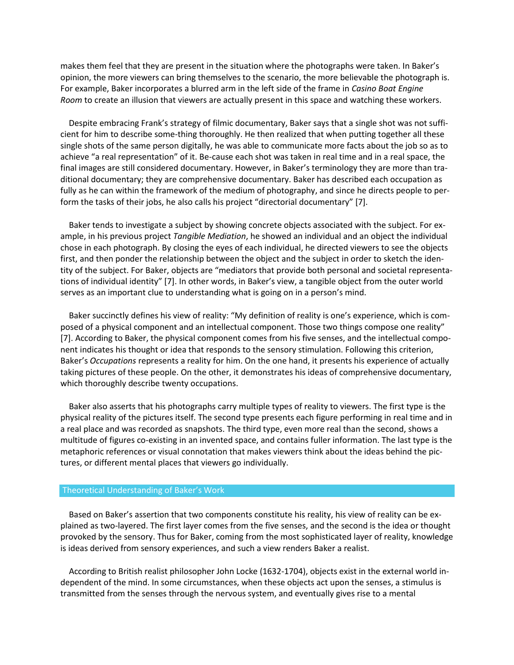makes them feel that they are present in the situation where the photographs were taken. In Baker's opinion, the more viewers can bring themselves to the scenario, the more believable the photograph is. For example, Baker incorporates a blurred arm in the left side of the frame in *Casino Boat Engine Room* to create an illusion that viewers are actually present in this space and watching these workers.

 Despite embracing Frank's strategy of filmic documentary, Baker says that a single shot was not sufficient for him to describe some-thing thoroughly. He then realized that when putting together all these single shots of the same person digitally, he was able to communicate more facts about the job so as to achieve "a real representation" of it. Be-cause each shot was taken in real time and in a real space, the final images are still considered documentary. However, in Baker's terminology they are more than traditional documentary; they are comprehensive documentary. Baker has described each occupation as fully as he can within the framework of the medium of photography, and since he directs people to perform the tasks of their jobs, he also calls his project "directorial documentary" [7].

 Baker tends to investigate a subject by showing concrete objects associated with the subject. For example, in his previous project *Tangible Mediation*, he showed an individual and an object the individual chose in each photograph. By closing the eyes of each individual, he directed viewers to see the objects first, and then ponder the relationship between the object and the subject in order to sketch the identity of the subject. For Baker, objects are "mediators that provide both personal and societal representations of individual identity" [7]. In other words, in Baker's view, a tangible object from the outer world serves as an important clue to understanding what is going on in a person's mind.

 Baker succinctly defines his view of reality: "My definition of reality is one's experience, which is composed of a physical component and an intellectual component. Those two things compose one reality" [7]. According to Baker, the physical component comes from his five senses, and the intellectual component indicates his thought or idea that responds to the sensory stimulation. Following this criterion, Baker's *Occupations* represents a reality for him. On the one hand, it presents his experience of actually taking pictures of these people. On the other, it demonstrates his ideas of comprehensive documentary, which thoroughly describe twenty occupations.

 Baker also asserts that his photographs carry multiple types of reality to viewers. The first type is the physical reality of the pictures itself. The second type presents each figure performing in real time and in a real place and was recorded as snapshots. The third type, even more real than the second, shows a multitude of figures co-existing in an invented space, and contains fuller information. The last type is the metaphoric references or visual connotation that makes viewers think about the ideas behind the pictures, or different mental places that viewers go individually.

## Theoretical Understanding of Baker's Work

 Based on Baker's assertion that two components constitute his reality, his view of reality can be explained as two-layered. The first layer comes from the five senses, and the second is the idea or thought provoked by the sensory. Thus for Baker, coming from the most sophisticated layer of reality, knowledge is ideas derived from sensory experiences, and such a view renders Baker a realist.

 According to British realist philosopher John Locke (1632-1704), objects exist in the external world independent of the mind. In some circumstances, when these objects act upon the senses, a stimulus is transmitted from the senses through the nervous system, and eventually gives rise to a mental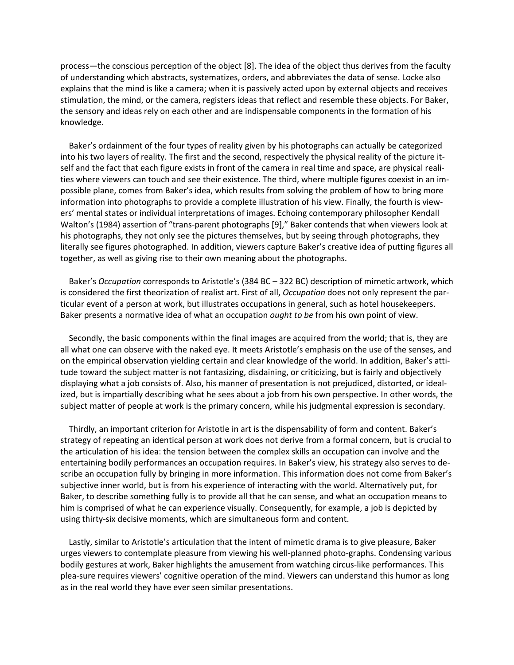process—the conscious perception of the object [8]. The idea of the object thus derives from the faculty of understanding which abstracts, systematizes, orders, and abbreviates the data of sense. Locke also explains that the mind is like a camera; when it is passively acted upon by external objects and receives stimulation, the mind, or the camera, registers ideas that reflect and resemble these objects. For Baker, the sensory and ideas rely on each other and are indispensable components in the formation of his knowledge.

 Baker's ordainment of the four types of reality given by his photographs can actually be categorized into his two layers of reality. The first and the second, respectively the physical reality of the picture itself and the fact that each figure exists in front of the camera in real time and space, are physical realities where viewers can touch and see their existence. The third, where multiple figures coexist in an impossible plane, comes from Baker's idea, which results from solving the problem of how to bring more information into photographs to provide a complete illustration of his view. Finally, the fourth is viewers' mental states or individual interpretations of images. Echoing contemporary philosopher Kendall Walton's (1984) assertion of "trans-parent photographs [9]," Baker contends that when viewers look at his photographs, they not only see the pictures themselves, but by seeing through photographs, they literally see figures photographed. In addition, viewers capture Baker's creative idea of putting figures all together, as well as giving rise to their own meaning about the photographs.

 Baker's *Occupation* corresponds to Aristotle's (384 BC – 322 BC) description of mimetic artwork, which is considered the first theorization of realist art. First of all, *Occupation* does not only represent the particular event of a person at work, but illustrates occupations in general, such as hotel housekeepers. Baker presents a normative idea of what an occupation *ought to be* from his own point of view.

 Secondly, the basic components within the final images are acquired from the world; that is, they are all what one can observe with the naked eye. It meets Aristotle's emphasis on the use of the senses, and on the empirical observation yielding certain and clear knowledge of the world. In addition, Baker's attitude toward the subject matter is not fantasizing, disdaining, or criticizing, but is fairly and objectively displaying what a job consists of. Also, his manner of presentation is not prejudiced, distorted, or idealized, but is impartially describing what he sees about a job from his own perspective. In other words, the subject matter of people at work is the primary concern, while his judgmental expression is secondary.

 Thirdly, an important criterion for Aristotle in art is the dispensability of form and content. Baker's strategy of repeating an identical person at work does not derive from a formal concern, but is crucial to the articulation of his idea: the tension between the complex skills an occupation can involve and the entertaining bodily performances an occupation requires. In Baker's view, his strategy also serves to describe an occupation fully by bringing in more information. This information does not come from Baker's subjective inner world, but is from his experience of interacting with the world. Alternatively put, for Baker, to describe something fully is to provide all that he can sense, and what an occupation means to him is comprised of what he can experience visually. Consequently, for example, a job is depicted by using thirty-six decisive moments, which are simultaneous form and content.

 Lastly, similar to Aristotle's articulation that the intent of mimetic drama is to give pleasure, Baker urges viewers to contemplate pleasure from viewing his well-planned photo-graphs. Condensing various bodily gestures at work, Baker highlights the amusement from watching circus-like performances. This plea-sure requires viewers' cognitive operation of the mind. Viewers can understand this humor as long as in the real world they have ever seen similar presentations.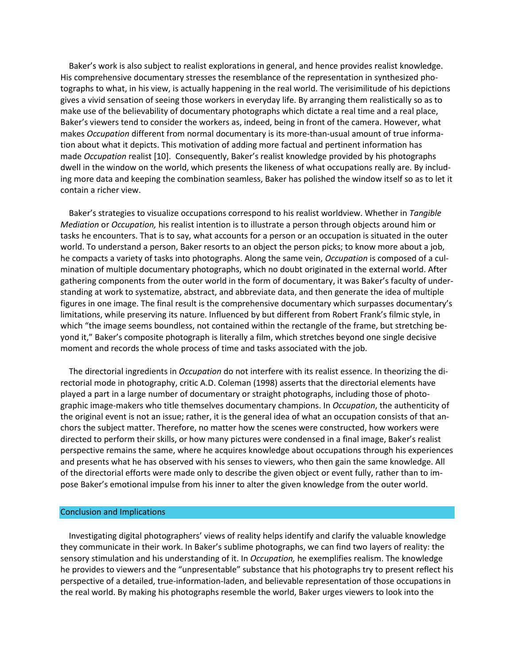Baker's work is also subject to realist explorations in general, and hence provides realist knowledge. His comprehensive documentary stresses the resemblance of the representation in synthesized photographs to what, in his view, is actually happening in the real world. The verisimilitude of his depictions gives a vivid sensation of seeing those workers in everyday life. By arranging them realistically so as to make use of the believability of documentary photographs which dictate a real time and a real place, Baker's viewers tend to consider the workers as, indeed, being in front of the camera. However, what makes *Occupation* different from normal documentary is its more-than-usual amount of true information about what it depicts. This motivation of adding more factual and pertinent information has made *Occupation* realist [10]. Consequently, Baker's realist knowledge provided by his photographs dwell in the window on the world, which presents the likeness of what occupations really are. By including more data and keeping the combination seamless, Baker has polished the window itself so as to let it contain a richer view.

 Baker's strategies to visualize occupations correspond to his realist worldview. Whether in *Tangible Mediation* or *Occupation,* his realist intention is to illustrate a person through objects around him or tasks he encounters. That is to say, what accounts for a person or an occupation is situated in the outer world. To understand a person, Baker resorts to an object the person picks; to know more about a job, he compacts a variety of tasks into photographs. Along the same vein, *Occupation* is composed of a culmination of multiple documentary photographs, which no doubt originated in the external world. After gathering components from the outer world in the form of documentary, it was Baker's faculty of understanding at work to systematize, abstract, and abbreviate data, and then generate the idea of multiple figures in one image. The final result is the comprehensive documentary which surpasses documentary's limitations, while preserving its nature. Influenced by but different from Robert Frank's filmic style, in which "the image seems boundless, not contained within the rectangle of the frame, but stretching beyond it," Baker's composite photograph is literally a film, which stretches beyond one single decisive moment and records the whole process of time and tasks associated with the job.

 The directorial ingredients in *Occupation* do not interfere with its realist essence. In theorizing the directorial mode in photography, critic A.D. Coleman (1998) asserts that the directorial elements have played a part in a large number of documentary or straight photographs, including those of photographic image-makers who title themselves documentary champions. In *Occupation*, the authenticity of the original event is not an issue; rather, it is the general idea of what an occupation consists of that anchors the subject matter. Therefore, no matter how the scenes were constructed, how workers were directed to perform their skills, or how many pictures were condensed in a final image, Baker's realist perspective remains the same, where he acquires knowledge about occupations through his experiences and presents what he has observed with his senses to viewers, who then gain the same knowledge. All of the directorial efforts were made only to describe the given object or event fully, rather than to impose Baker's emotional impulse from his inner to alter the given knowledge from the outer world.

#### Conclusion and Implications

 Investigating digital photographers' views of reality helps identify and clarify the valuable knowledge they communicate in their work. In Baker's sublime photographs, we can find two layers of reality: the sensory stimulation and his understanding of it. In *Occupation,* he exemplifies realism. The knowledge he provides to viewers and the "unpresentable" substance that his photographs try to present reflect his perspective of a detailed, true-information-laden, and believable representation of those occupations in the real world. By making his photographs resemble the world, Baker urges viewers to look into the